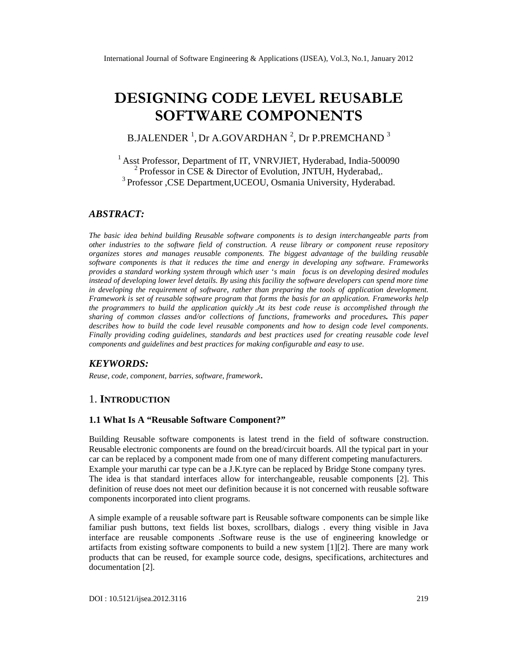# **DESIGNING CODE LEVEL REUSABLE SOFTWARE COMPONENTS**

B.JALENDER  $^1$ , Dr A.GOVARDHAN  $^2$ , Dr P.PREMCHAND  $^3$ 

<sup>1</sup> Asst Professor, Department of IT, VNRVJIET, Hyderabad, India-500090 <sup>2</sup> Professor in CSE & Director of Evolution, JNTUH, Hyderabad,. <sup>3</sup> Professor ,CSE Department, UCEOU, Osmania University, Hyderabad.

## *ABSTRACT:*

*The basic idea behind building Reusable software components is to design interchangeable parts from other industries to the software field of construction. A reuse library or component reuse repository organizes stores and manages reusable components. The biggest advantage of the building reusable software components is that it reduces the time and energy in developing any software. Frameworks provides a standard working system through which user 's main focus is on developing desired modules instead of developing lower level details. By using this facility the software developers can spend more time in developing the requirement of software, rather than preparing the tools of application development. Framework is set of reusable software program that forms the basis for an application. Frameworks help the programmers to build the application quickly .At its best code reuse is accomplished through the sharing of common classes and/or collections of functions, frameworks and procedures. This paper describes how to build the code level reusable components and how to design code level components. Finally providing coding guidelines, standards and best practices used for creating reusable code level components and guidelines and best practices for making configurable and easy to use.*

## *KEYWORDS:*

*Reuse, code, component, barries, software, framework*.

## 1. **INTRODUCTION**

#### **1.1 What Is A "Reusable Software Component?"**

Building Reusable software components is latest trend in the field of software construction. Reusable electronic components are found on the bread/circuit boards. All the typical part in your car can be replaced by a component made from one of many different competing manufacturers. Example your maruthi car type can be a J.K.tyre can be replaced by Bridge Stone company tyres. The idea is that standard interfaces allow for interchangeable, reusable components [2]. This definition of reuse does not meet our definition because it is not concerned with reusable software components incorporated into client programs.

A simple example of a reusable software part is Reusable software components can be simple like familiar push buttons, text fields list boxes, scrollbars, dialogs . every thing visible in Java interface are reusable components .Software reuse is the use of engineering knowledge or artifacts from existing software components to build a new system [1][2]. There are many work products that can be reused, for example source code, designs, specifications, architectures and documentation [2].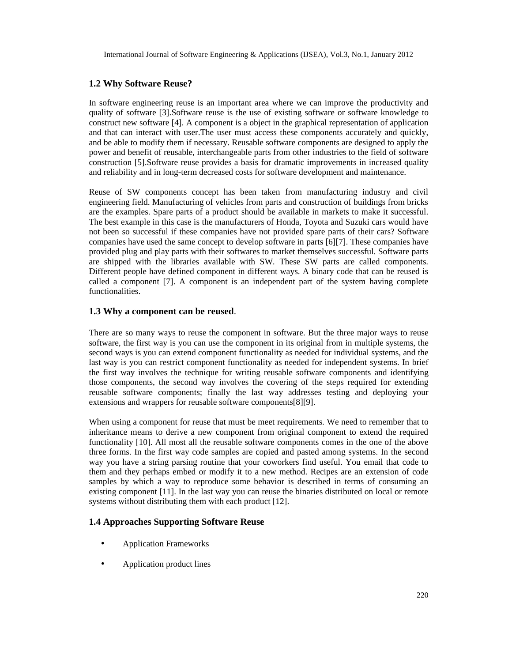## **1.2 Why Software Reuse?**

In software engineering reuse is an important area where we can improve the productivity and quality of software [3].Software reuse is the use of existing software or software knowledge to construct new software [4]. A component is a object in the graphical representation of application and that can interact with user.The user must access these components accurately and quickly, and be able to modify them if necessary. Reusable software components are designed to apply the power and benefit of reusable, interchangeable parts from other industries to the field of software construction [5].Software reuse provides a basis for dramatic improvements in increased quality and reliability and in long-term decreased costs for software development and maintenance.

Reuse of SW components concept has been taken from manufacturing industry and civil engineering field. Manufacturing of vehicles from parts and construction of buildings from bricks are the examples. Spare parts of a product should be available in markets to make it successful. The best example in this case is the manufacturers of Honda, Toyota and Suzuki cars would have not been so successful if these companies have not provided spare parts of their cars? Software companies have used the same concept to develop software in parts [6][7]. These companies have provided plug and play parts with their softwares to market themselves successful. Software parts are shipped with the libraries available with SW. These SW parts are called components. Different people have defined component in different ways. A binary code that can be reused is called a component [7]. A component is an independent part of the system having complete functionalities.

### **1.3 Why a component can be reused**.

There are so many ways to reuse the component in software. But the three major ways to reuse software, the first way is you can use the component in its original from in multiple systems, the second ways is you can extend component functionality as needed for individual systems, and the last way is you can restrict component functionality as needed for independent systems. In brief the first way involves the technique for writing reusable software components and identifying those components, the second way involves the covering of the steps required for extending reusable software components; finally the last way addresses testing and deploying your extensions and wrappers for reusable software components[8][9].

When using a component for reuse that must be meet requirements. We need to remember that to inheritance means to derive a new component from original component to extend the required functionality [10]. All most all the reusable software components comes in the one of the above three forms. In the first way code samples are copied and pasted among systems. In the second way you have a string parsing routine that your coworkers find useful. You email that code to them and they perhaps embed or modify it to a new method. Recipes are an extension of code samples by which a way to reproduce some behavior is described in terms of consuming an existing component [11]. In the last way you can reuse the binaries distributed on local or remote systems without distributing them with each product [12].

#### **1.4 Approaches Supporting Software Reuse**

- Application Frameworks
- Application product lines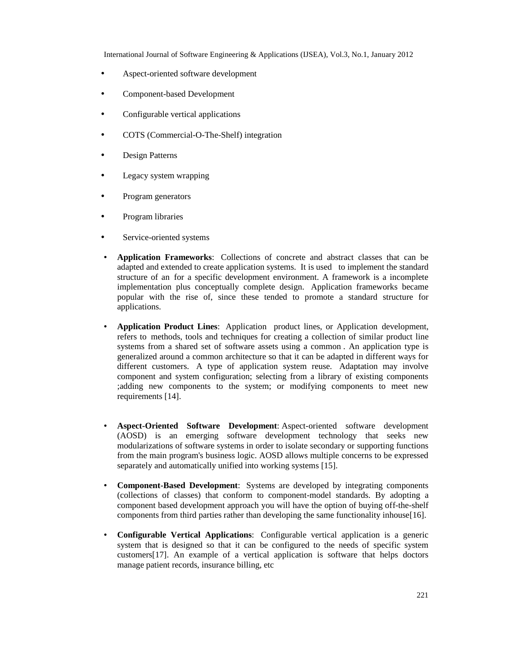- Aspect-oriented software development
- Component-based Development
- Configurable vertical applications
- COTS (Commercial-O-The-Shelf) integration
- Design Patterns
- Legacy system wrapping
- Program generators
- Program libraries
- Service-oriented systems
- **Application Frameworks**: Collections of concrete and abstract classes that can be adapted and extended to create application systems. It is used to implement the standard structure of an for a specific development environment. A framework is a incomplete implementation plus conceptually complete design. Application frameworks became popular with the rise of, since these tended to promote a standard structure for applications.
- **Application Product Lines**: Application product lines, or Application development, refers to methods, tools and techniques for creating a collection of similar product line systems from a shared set of software assets using a common . An application type is generalized around a common architecture so that it can be adapted in different ways for different customers. A type of application system reuse. Adaptation may involve component and system configuration; selecting from a library of existing components ;adding new components to the system; or modifying components to meet new requirements [14].
- **Aspect-Oriented Software Development**: Aspect-oriented software development (AOSD) is an emerging software development technology that seeks new modularizations of software systems in order to isolate secondary or supporting functions from the main program's business logic. AOSD allows multiple concerns to be expressed separately and automatically unified into working systems [15].
- **Component-Based Development**: Systems are developed by integrating components (collections of classes) that conform to component-model standards. By adopting a component based development approach you will have the option of buying off-the-shelf components from third parties rather than developing the same functionality inhouse[16].
- **Configurable Vertical Applications**: Configurable vertical application is a generic system that is designed so that it can be configured to the needs of specific system customers[17]. An example of a vertical application is software that helps doctors manage patient records, insurance billing, etc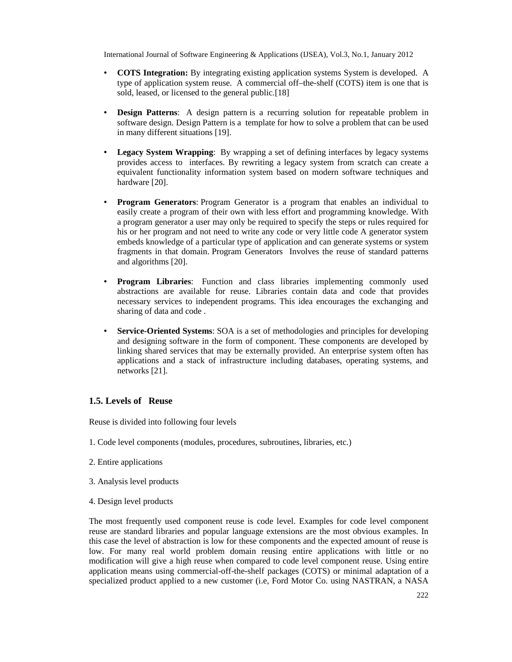- **COTS Integration:** By integrating existing application systems System is developed. A type of application system reuse. A commercial off–the-shelf (COTS) item is one that is sold, leased, or licensed to the general public.<sup>[18]</sup>
- **Design Patterns**: A design pattern is a recurring solution for repeatable problem in software design. Design Pattern is a template for how to solve a problem that can be used in many different situations [19].
- **Legacy System Wrapping**: By wrapping a set of defining interfaces by legacy systems provides access to interfaces. By rewriting a legacy system from scratch can create a equivalent functionality information system based on modern software techniques and hardware [20].
- **Program Generators**: Program Generator is a program that enables an individual to easily create a program of their own with less effort and programming knowledge. With a program generator a user may only be required to specify the steps or rules required for his or her program and not need to write any code or very little code A generator system embeds knowledge of a particular type of application and can generate systems or system fragments in that domain. Program Generators Involves the reuse of standard patterns and algorithms [20].
- **Program Libraries**: Function and class libraries implementing commonly used abstractions are available for reuse. Libraries contain data and code that provides necessary services to independent programs. This idea encourages the exchanging and sharing of data and code .
- **Service-Oriented Systems**: SOA is a set of methodologies and principles for developing and designing software in the form of component. These components are developed by linking shared services that may be externally provided. An enterprise system often has applications and a stack of infrastructure including databases, operating systems, and networks [21].

## **1.5. Levels of Reuse**

Reuse is divided into following four levels

- 1. Code level components (modules, procedures, subroutines, libraries, etc.)
- 2. Entire applications
- 3. Analysis level products
- 4. Design level products

The most frequently used component reuse is code level. Examples for code level component reuse are standard libraries and popular language extensions are the most obvious examples. In this case the level of abstraction is low for these components and the expected amount of reuse is low. For many real world problem domain reusing entire applications with little or no modification will give a high reuse when compared to code level component reuse. Using entire application means using commercial-off-the-shelf packages (COTS) or minimal adaptation of a specialized product applied to a new customer (i.e, Ford Motor Co. using NASTRAN, a NASA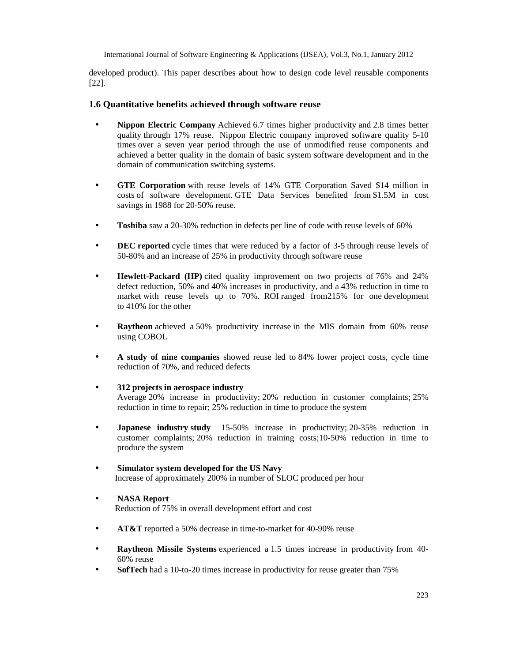developed product). This paper describes about how to design code level reusable components [22].

## **1.6 Quantitative benefits achieved through software reuse**

- **Nippon Electric Company** Achieved 6.7 times higher productivity and 2.8 times better quality through 17% reuse. Nippon Electric company improved software quality 5-10 times over a seven year period through the use of unmodified reuse components and achieved a better quality in the domain of basic system software development and in the domain of communication switching systems.
- **GTE Corporation** with reuse levels of 14% GTE Corporation Saved \$14 million in costs of software development. GTE Data Services benefited from \$1.5M in cost savings in 1988 for 20-50% reuse.
- **Toshiba** saw a 20-30% reduction in defects per line of code with reuse levels of 60%
- **DEC reported** cycle times that were reduced by a factor of 3-5 through reuse levels of 50-80% and an increase of 25% in productivity through software reuse
- **Hewlett-Packard (HP)** cited quality improvement on two projects of 76% and 24% defect reduction, 50% and 40% increases in productivity, and a 43% reduction in time to market with reuse levels up to 70%. ROI ranged from215% for one development to 410% for the other
- **Raytheon** achieved a 50% productivity increase in the MIS domain from 60% reuse using COBOL
- **A study of nine companies** showed reuse led to 84% lower project costs, cycle time reduction of 70%, and reduced defects
- **312 projects in aerospace industry** Average 20% increase in productivity; 20% reduction in customer complaints; 25% reduction in time to repair; 25% reduction in time to produce the system
- **Japanese industry study** 15-50% increase in productivity; 20-35% reduction in customer complaints; 20% reduction in training costs;10-50% reduction in time to produce the system
- **Simulator system developed for the US Navy** Increase of approximately 200% in number of SLOC produced per hour
- **NASA Report**

Reduction of 75% in overall development effort and cost

- **AT&T** reported a 50% decrease in time-to-market for 40-90% reuse
- **Raytheon Missile Systems** experienced a 1.5 times increase in productivity from 40-60% reuse
- **SofTech** had a 10-to-20 times increase in productivity for reuse greater than 75%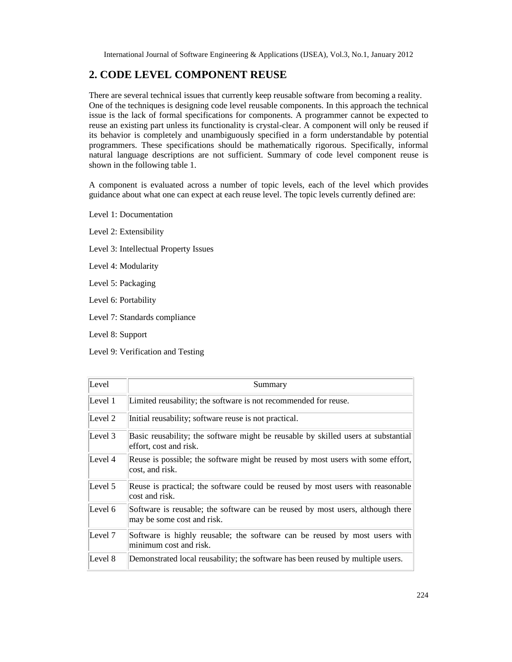# **2. CODE LEVEL COMPONENT REUSE**

There are several technical issues that currently keep reusable software from becoming a reality. One of the techniques is designing code level reusable components. In this approach the technical issue is the lack of formal specifications for components. A programmer cannot be expected to reuse an existing part unless its functionality is crystal-clear. A component will only be reused if its behavior is completely and unambiguously specified in a form understandable by potential programmers. These specifications should be mathematically rigorous. Specifically, informal natural language descriptions are not sufficient. Summary of code level component reuse is shown in the following table 1.

A component is evaluated across a number of topic levels, each of the level which provides guidance about what one can expect at each reuse level. The topic levels currently defined are:

Level 1: Documentation

Level 2: Extensibility

Level 3: Intellectual Property Issues

Level 4: Modularity

Level 5: Packaging

Level 6: Portability

Level 7: Standards compliance

Level 8: Support

Level 9: Verification and Testing

| Level   | Summary                                                                                                      |
|---------|--------------------------------------------------------------------------------------------------------------|
| Level 1 | Limited reusability; the software is not recommended for reuse.                                              |
| Level 2 | Initial reusability; software reuse is not practical.                                                        |
| Level 3 | Basic reusability; the software might be reusable by skilled users at substantial<br>effort, cost and risk.  |
| Level 4 | Reuse is possible; the software might be reused by most users with some effort,<br>cost, and risk.           |
| Level 5 | Reuse is practical; the software could be reused by most users with reasonable<br>cost and risk.             |
| Level 6 | Software is reusable; the software can be reused by most users, although there<br>may be some cost and risk. |
| Level 7 | Software is highly reusable; the software can be reused by most users with<br>minimum cost and risk.         |
| Level 8 | Demonstrated local reusability; the software has been reused by multiple users.                              |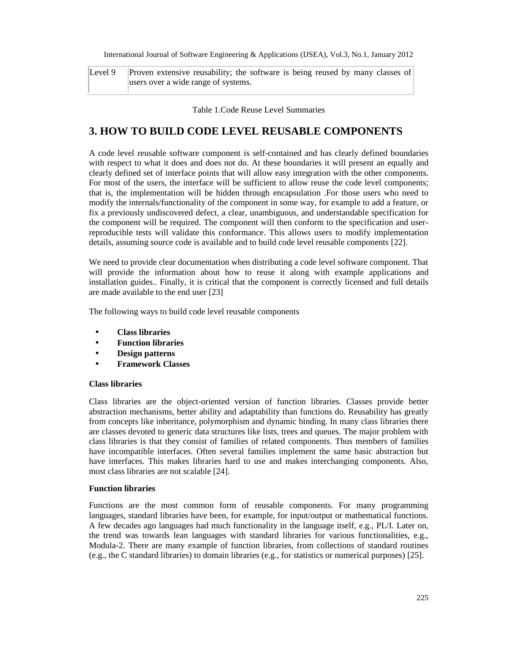| Level 9 Proven extensive reusability; the software is being reused by many classes of |  |
|---------------------------------------------------------------------------------------|--|
| users over a wide range of systems.                                                   |  |

Table 1.Code Reuse Level Summaries

## **3. HOW TO BUILD CODE LEVEL REUSABLE COMPONENTS**

A code level reusable software component is self-contained and has clearly defined boundaries with respect to what it does and does not do. At these boundaries it will present an equally and clearly defined set of interface points that will allow easy integration with the other components. For most of the users, the interface will be sufficient to allow reuse the code level components; that is, the implementation will be hidden through encapsulation .For those users who need to modify the internals/functionality of the component in some way, for example to add a feature, or fix a previously undiscovered defect, a clear, unambiguous, and understandable specification for the component will be required. The component will then conform to the specification and userreproducible tests will validate this conformance. This allows users to modify implementation details, assuming source code is available and to build code level reusable components [22].

We need to provide clear documentation when distributing a code level software component. That will provide the information about how to reuse it along with example applications and installation guides.. Finally, it is critical that the component is correctly licensed and full details are made available to the end user [23]

The following ways to build code level reusable components

- **Class libraries**
- **Function libraries**
- **Design patterns**
- **Framework Classes**

#### **Class libraries**

Class libraries are the object-oriented version of function libraries. Classes provide better abstraction mechanisms, better ability and adaptability than functions do. Reusability has greatly from concepts like inheritance, polymorphism and dynamic binding. In many class libraries there are classes devoted to generic data structures like lists, trees and queues. The major problem with class libraries is that they consist of families of related components. Thus members of families have incompatible interfaces. Often several families implement the same basic abstraction but have interfaces. This makes libraries hard to use and makes interchanging components. Also, most class libraries are not scalable [24].

#### **Function libraries**

Functions are the most common form of reusable components. For many programming languages, standard libraries have been, for example, for input/output or mathematical functions. A few decades ago languages had much functionality in the language itself, e.g., PL/I. Later on, the trend was towards lean languages with standard libraries for various functionalities, e.g., Modula-2. There are many example of function libraries, from collections of standard routines (e.g., the C standard libraries) to domain libraries (e.g., for statistics or numerical purposes) [25].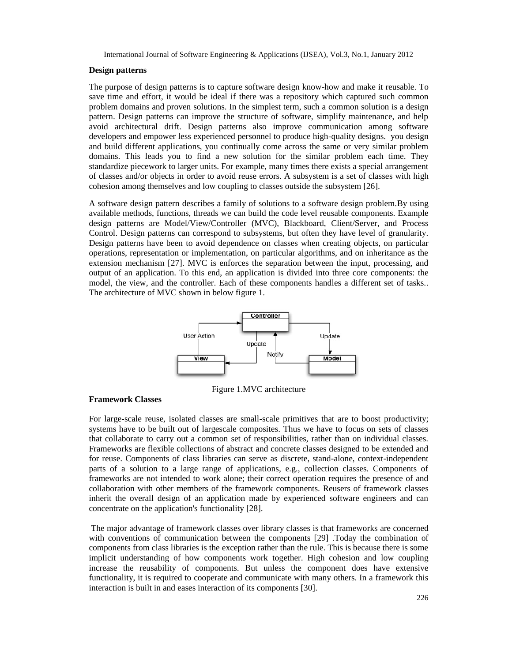#### **Design patterns**

The purpose of design patterns is to capture software design know-how and make it reusable. To save time and effort, it would be ideal if there was a repository which captured such common problem domains and proven solutions. In the simplest term, such a common solution is a design pattern. Design patterns can improve the structure of software, simplify maintenance, and help avoid architectural drift. Design patterns also improve communication among software developers and empower less experienced personnel to produce high-quality designs. you design and build different applications, you continually come across the same or very similar problem domains. This leads you to find a new solution for the similar problem each time. They standardize piecework to larger units. For example, many times there exists a special arrangement of classes and/or objects in order to avoid reuse errors. A subsystem is a set of classes with high cohesion among themselves and low coupling to classes outside the subsystem [26].

A software design pattern describes a family of solutions to a software design problem.By using available methods, functions, threads we can build the code level reusable components. Example design patterns are Model/View/Controller (MVC), Blackboard, Client/Server, and Process Control. Design patterns can correspond to subsystems, but often they have level of granularity. Design patterns have been to avoid dependence on classes when creating objects, on particular operations, representation or implementation, on particular algorithms, and on inheritance as the extension mechanism [27]. MVC is enforces the separation between the input, processing, and output of an application. To this end, an application is divided into three core components: the model, the view, and the controller. Each of these components handles a different set of tasks.. The architecture of MVC shown in below figure 1.



Figure 1.MVC architecture

#### **Framework Classes**

For large-scale reuse, isolated classes are small-scale primitives that are to boost productivity; systems have to be built out of largescale composites. Thus we have to focus on sets of classes that collaborate to carry out a common set of responsibilities, rather than on individual classes. Frameworks are flexible collections of abstract and concrete classes designed to be extended and for reuse. Components of class libraries can serve as discrete, stand-alone, context-independent parts of a solution to a large range of applications, e.g., collection classes. Components of frameworks are not intended to work alone; their correct operation requires the presence of and collaboration with other members of the framework components. Reusers of framework classes inherit the overall design of an application made by experienced software engineers and can concentrate on the application's functionality [28].

The major advantage of framework classes over library classes is that frameworks are concerned with conventions of communication between the components [29] .Today the combination of components from class libraries is the exception rather than the rule. This is because there is some implicit understanding of how components work together. High cohesion and low coupling increase the reusability of components. But unless the component does have extensive functionality, it is required to cooperate and communicate with many others. In a framework this interaction is built in and eases interaction of its components [30].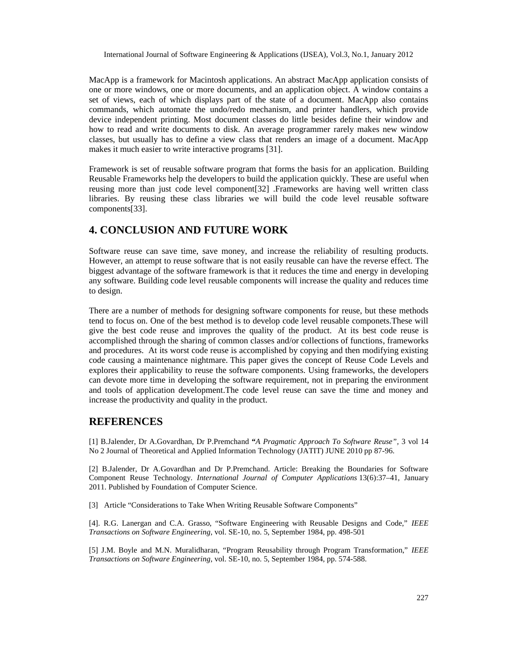MacApp is a framework for Macintosh applications. An abstract MacApp application consists of one or more windows, one or more documents, and an application object. A window contains a set of views, each of which displays part of the state of a document. MacApp also contains commands, which automate the undo/redo mechanism, and printer handlers, which provide device independent printing. Most document classes do little besides define their window and how to read and write documents to disk. An average programmer rarely makes new window classes, but usually has to define a view class that renders an image of a document. MacApp makes it much easier to write interactive programs [31].

Framework is set of reusable software program that forms the basis for an application. Building Reusable Frameworks help the developers to build the application quickly. These are useful when reusing more than just code level component[32] .Frameworks are having well written class libraries. By reusing these class libraries we will build the code level reusable software components[33].

# **4. CONCLUSION AND FUTURE WORK**

Software reuse can save time, save money, and increase the reliability of resulting products. However, an attempt to reuse software that is not easily reusable can have the reverse effect. The biggest advantage of the software framework is that it reduces the time and energy in developing any software. Building code level reusable components will increase the quality and reduces time to design.

There are a number of methods for designing software components for reuse, but these methods tend to focus on. One of the best method is to develop code level reusable componets.These will give the best code reuse and improves the quality of the product. At its best code reuse is accomplished through the sharing of common classes and/or collections of functions, frameworks and procedures. At its worst code reuse is accomplished by copying and then modifying existing code causing a maintenance nightmare. This paper gives the concept of Reuse Code Levels and explores their applicability to reuse the software components. Using frameworks, the developers can devote more time in developing the software requirement, not in preparing the environment and tools of application development.The code level reuse can save the time and money and increase the productivity and quality in the product.

## **REFERENCES**

[1] B.Jalender, Dr A.Govardhan, Dr P.Premchand **"***A Pragmatic Approach To Software Reuse",* 3 vol 14 No 2 Journal of Theoretical and Applied Information Technology (JATIT) JUNE 2010 pp 87-96.

[2] B.Jalender, Dr A.Govardhan and Dr P.Premchand. Article: Breaking the Boundaries for Software Component Reuse Technology. *International Journal of Computer Applications* 13(6):37–41, January 2011. Published by Foundation of Computer Science.

[3] Article "Considerations to Take When Writing Reusable Software Components"

[4]. R.G. Lanergan and C.A. Grasso, "Software Engineering with Reusable Designs and Code," *IEEE Transactions on Software Engineering*, vol. SE-10, no. 5, September 1984, pp. 498-501

[5] J.M. Boyle and M.N. Muralidharan, "Program Reusability through Program Transformation," *IEEE Transactions on Software Engineering*, vol. SE-10, no. 5, September 1984, pp. 574-588.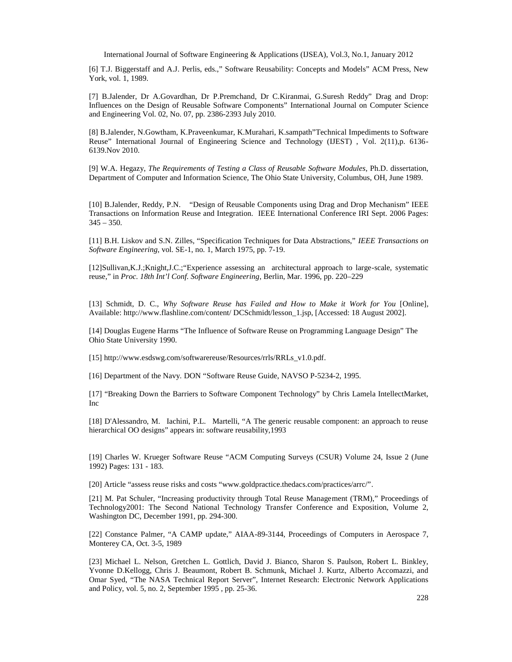[6] T.J. Biggerstaff and A.J. Perlis, edsSoftware Reusability: Concepts and ModelsCM Press, New York, vol. 1, 1989.

[7] B.Jalender, Dr A.Govardhan, D.P.PremchandDr C.Kiranmai, G.SureslReddy, Drag and Drop: Influences on the Design of Reusable Software Components; national Journal on Computer Science and Engineering Vol. 02, No. 07, pp386-2393 July 2010.

[8] B.Jalender, N.Gowtham, K.Praveenkumar, K.Murahari, Technical Impediments to Software Reuse, International Journal of Engineering Science and Technology (IJEST), Vol. 2(11), p. 6136 6139.Nov 2010.

[9] W.A. Hegazy, The Requirements of Testing a Class of Reusable Software Mod Ritels. dissertation, Department of Computer and Information Science, The Ohio State University, Columbus, OH, June 1989.

[10] B.Jalender, Reddy, P.N.•Design of Reusable Components using Danad Drop Mechanism IEEE Transactions omnformation Reuse and Integration. IEEE International Conference IRI Sept. 2006 Pages: 345€350.

[11] B.H. Liskov and S.N. Zilles, •Specification Techniques for Data Abstractid Et Transactions on Software Engineering vol. SE-1, no. 1, March 1975, pp. 79.

[12]Sullivan,K.J.;Knight,J.C.Experience assessing an architectural approach to statule, systematic reuse,, inProc. 18th Int, I Conf. Software Engineeringerlin, Mar. 1996, pp. 220229

[13] Schmidt, D. C., Why Software Reuse has Failed and How to Make it Work for [Waline], Available: [http://www.flashline.com/conten](http://www.flashline.com/content/)t/ DCSchmidt/lesson\_1.jsp, [Accessed: 18 August 2002].

[14] Douglas Eugene Harms •The Influence of Software Reuse on Program haminguage Design The Ohio State University 1990.

[15] [http://www.esdswg.com/softwarereuse/Resources/rrls/RRLs\\_v1](http://www.esdswg.com/softwarereuse/Resources/rrls/RRLs_v1.0.pdf).0.pdf

[16] Department of the Navy. DONS oftware Reuse Guide AVSO P52342, 1995.

[17] • Breaking Down the Barriers to Software Componen Bachnology, by Chris Lamela IntellectMarket, Inc

[18] D'Alessandro, M. Iachini, P.L. Martelli, •A The generic reusable component: an approach to reuse hierarchicalOO designs, appears in: software reusability, 1993

[19] Charles W. Krueger Stware Reuse ACM Computing Surveys (CSUR) olume 24, Issue 2 (June 1992) Pages: 131183.

[20] Article •assess reuse risks andsts•[www.goldpractice.thedacs.com/practices/a](www.goldpractice.thedacs.com/practices/arrc/)rrc/,

[21] M. Pat Schuler, •Increasing productivity through Total Reuse Manage (TRM),, Proceedings of Technology2001: The Second National Technology Transfer Conference and Exposition, Volume 2, Washington DC, December 1991, pp. 23940.

[22] Constance Palmer, •A CAMP update,, AIAA9-3144, Proceedings of Computers in Aerospace MontereyCA, Oct. 35, 1989

[23] Michael L. Nelson, Gretchen L. Gottlich, David J. Bianco, Sharon S. Paulson, Robert L. Binkley, Yvonne D.Kellogg, Chris J. Beaumont, Robert B. Schmunk, Michael J. Kurtz, Alberto Accomazzi, and Omar Syed, •The NASA Tectical Report Server, Internet Research: Electronic Network Applications and Policy vol. 5, no. 2, September 1995, pp-325